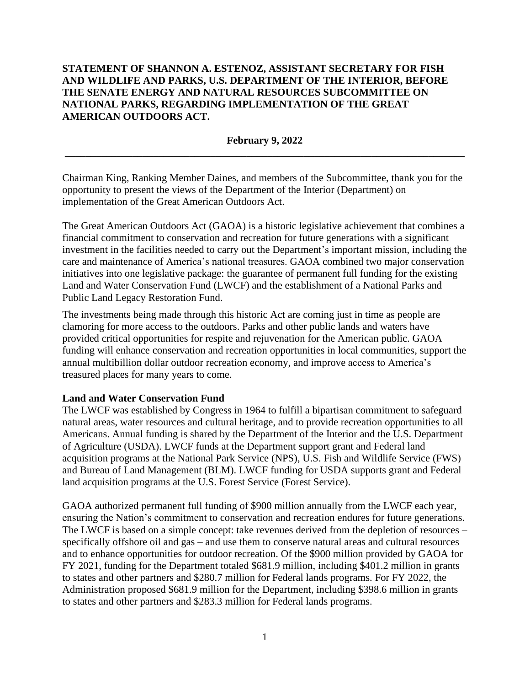# **STATEMENT OF SHANNON A. ESTENOZ, ASSISTANT SECRETARY FOR FISH AND WILDLIFE AND PARKS, U.S. DEPARTMENT OF THE INTERIOR, BEFORE THE SENATE ENERGY AND NATURAL RESOURCES SUBCOMMITTEE ON NATIONAL PARKS, REGARDING IMPLEMENTATION OF THE GREAT AMERICAN OUTDOORS ACT.**

## **February 9, 2022 \_\_\_\_\_\_\_\_\_\_\_\_\_\_\_\_\_\_\_\_\_\_\_\_\_\_\_\_\_\_\_\_\_\_\_\_\_\_\_\_\_\_\_\_\_\_\_\_\_\_\_\_\_\_\_\_\_\_\_\_\_\_\_\_\_\_\_\_\_\_\_\_\_\_\_\_\_**

Chairman King, Ranking Member Daines, and members of the Subcommittee, thank you for the opportunity to present the views of the Department of the Interior (Department) on implementation of the Great American Outdoors Act.

The Great American Outdoors Act (GAOA) is a historic legislative achievement that combines a financial commitment to conservation and recreation for future generations with a significant investment in the facilities needed to carry out the Department's important mission, including the care and maintenance of America's national treasures. GAOA combined two major conservation initiatives into one legislative package: the guarantee of permanent full funding for the existing Land and Water Conservation Fund (LWCF) and the establishment of a National Parks and Public Land Legacy Restoration Fund.

The investments being made through this historic Act are coming just in time as people are clamoring for more access to the outdoors. Parks and other public lands and waters have provided critical opportunities for respite and rejuvenation for the American public. GAOA funding will enhance conservation and recreation opportunities in local communities, support the annual multibillion dollar outdoor recreation economy, and improve access to America's treasured places for many years to come.

### **Land and Water Conservation Fund**

The LWCF was established by Congress in 1964 to fulfill a bipartisan commitment to safeguard natural areas, water resources and cultural heritage, and to provide recreation opportunities to all Americans. Annual funding is shared by the Department of the Interior and the U.S. Department of Agriculture (USDA). LWCF funds at the Department support grant and Federal land acquisition programs at the National Park Service (NPS), U.S. Fish and Wildlife Service (FWS) and Bureau of Land Management (BLM). LWCF funding for USDA supports grant and Federal land acquisition programs at the U.S. Forest Service (Forest Service).

GAOA authorized permanent full funding of \$900 million annually from the LWCF each year, ensuring the Nation's commitment to conservation and recreation endures for future generations. The LWCF is based on a simple concept: take revenues derived from the depletion of resources – specifically offshore oil and gas – and use them to conserve natural areas and cultural resources and to enhance opportunities for outdoor recreation. Of the \$900 million provided by GAOA for FY 2021, funding for the Department totaled \$681.9 million, including \$401.2 million in grants to states and other partners and \$280.7 million for Federal lands programs. For FY 2022, the Administration proposed \$681.9 million for the Department, including \$398.6 million in grants to states and other partners and \$283.3 million for Federal lands programs.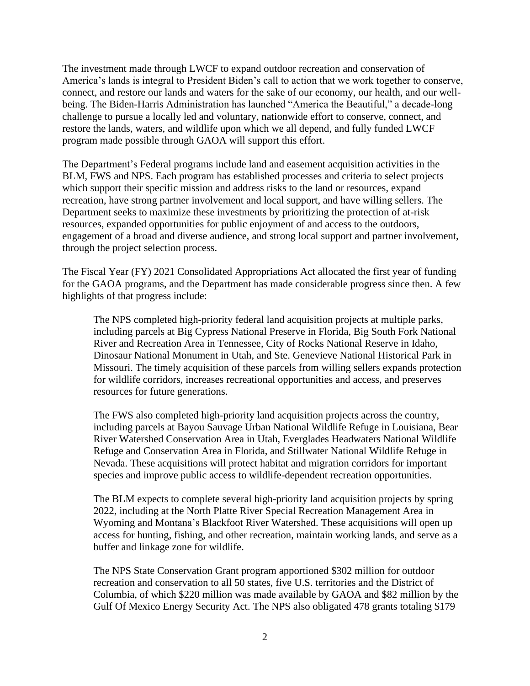The investment made through LWCF to expand outdoor recreation and conservation of America's lands is integral to President Biden's call to action that we work together to conserve, connect, and restore our lands and waters for the sake of our economy, our health, and our wellbeing. The Biden-Harris Administration has launched "America the Beautiful," a decade-long challenge to pursue a locally led and voluntary, nationwide effort to conserve, connect, and restore the lands, waters, and wildlife upon which we all depend, and fully funded LWCF program made possible through GAOA will support this effort.

The Department's Federal programs include land and easement acquisition activities in the BLM, FWS and NPS. Each program has established processes and criteria to select projects which support their specific mission and address risks to the land or resources, expand recreation, have strong partner involvement and local support, and have willing sellers. The Department seeks to maximize these investments by prioritizing the protection of at-risk resources, expanded opportunities for public enjoyment of and access to the outdoors, engagement of a broad and diverse audience, and strong local support and partner involvement, through the project selection process.

The Fiscal Year (FY) 2021 Consolidated Appropriations Act allocated the first year of funding for the GAOA programs, and the Department has made considerable progress since then. A few highlights of that progress include:

The NPS completed high-priority federal land acquisition projects at multiple parks, including parcels at Big Cypress National Preserve in Florida, Big South Fork National River and Recreation Area in Tennessee, City of Rocks National Reserve in Idaho, Dinosaur National Monument in Utah, and Ste. Genevieve National Historical Park in Missouri. The timely acquisition of these parcels from willing sellers expands protection for wildlife corridors, increases recreational opportunities and access, and preserves resources for future generations.

The FWS also completed high-priority land acquisition projects across the country, including parcels at Bayou Sauvage Urban National Wildlife Refuge in Louisiana, Bear River Watershed Conservation Area in Utah, Everglades Headwaters National Wildlife Refuge and Conservation Area in Florida, and Stillwater National Wildlife Refuge in Nevada. These acquisitions will protect habitat and migration corridors for important species and improve public access to wildlife-dependent recreation opportunities.

The BLM expects to complete several high-priority land acquisition projects by spring 2022, including at the North Platte River Special Recreation Management Area in Wyoming and Montana's Blackfoot River Watershed. These acquisitions will open up access for hunting, fishing, and other recreation, maintain working lands, and serve as a buffer and linkage zone for wildlife.

The NPS State Conservation Grant program apportioned \$302 million for outdoor recreation and conservation to all 50 states, five U.S. territories and the District of Columbia, of which \$220 million was made available by GAOA and \$82 million by the Gulf Of Mexico Energy Security Act. The NPS also obligated 478 grants totaling \$179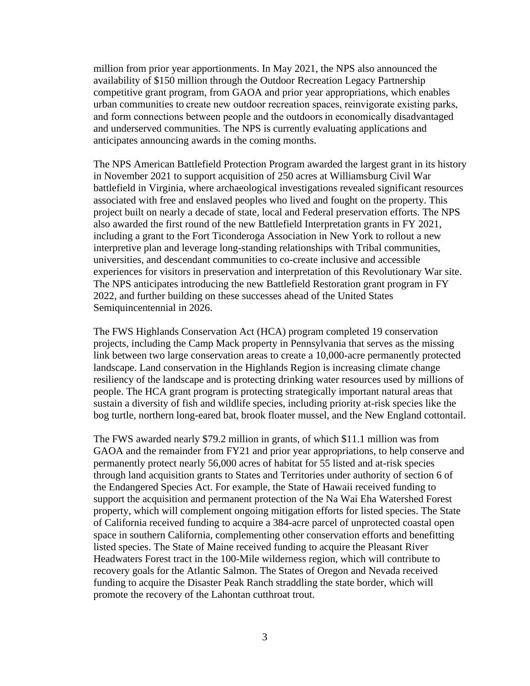million from prior year apportionments. In May 2021, the NPS also announced the availability of \$150 million through the Outdoor Recreation Legacy Partnership competitive grant program, from GAOA and prior year appropriations, which enables urban communities to create new outdoor recreation spaces, reinvigorate existing parks, and form connections between people and the outdoors in economically disadvantaged and underserved communities. The NPS is currently evaluating applications and anticipates announcing awards in the coming months.

The NPS American Battlefield Protection Program awarded the largest grant in its history in November 2021 to support acquisition of 250 acres at Williamsburg Civil War battlefield in Virginia, where archaeological investigations revealed significant resources associated with free and enslaved peoples who lived and fought on the property. This project built on nearly a decade of state, local and Federal preservation efforts. The NPS also awarded the first round of the new Battlefield Interpretation grants in FY 2021, including a grant to the Fort Ticonderoga Association in New York to rollout a new interpretive plan and leverage long-standing relationships with Tribal communities, universities, and descendant communities to co-create inclusive and accessible experiences for visitors in preservation and interpretation of this Revolutionary War site. The NPS anticipates introducing the new Battlefield Restoration grant program in FY 2022, and further building on these successes ahead of the United States Semiquincentennial in 2026.

The FWS Highlands Conservation Act (HCA) program completed 19 conservation projects, including the Camp Mack property in Pennsylvania that serves as the missing link between two large conservation areas to create a 10,000-acre permanently protected landscape. Land conservation in the Highlands Region is increasing climate change resiliency of the landscape and is protecting drinking water resources used by millions of people. The HCA grant program is protecting strategically important natural areas that sustain a diversity of fish and wildlife species, including priority at-risk species like the bog turtle, northern long-eared bat, brook floater mussel, and the New England cottontail.

The FWS awarded nearly \$79.2 million in grants, of which \$11.1 million was from GAOA and the remainder from FY21 and prior year appropriations, to help conserve and permanently protect nearly 56,000 acres of habitat for 55 listed and at-risk species through land acquisition grants to States and Territories under authority of section 6 of the Endangered Species Act. For example, the State of Hawaii received funding to support the acquisition and permanent protection of the Na Wai Eha Watershed Forest property, which will complement ongoing mitigation efforts for listed species. The State of California received funding to acquire a 384-acre parcel of unprotected coastal open space in southern California, complementing other conservation efforts and benefitting listed species. The State of Maine received funding to acquire the Pleasant River Headwaters Forest tract in the 100-Mile wilderness region, which will contribute to recovery goals for the Atlantic Salmon. The States of Oregon and Nevada received funding to acquire the Disaster Peak Ranch straddling the state border, which will promote the recovery of the Lahontan cutthroat trout.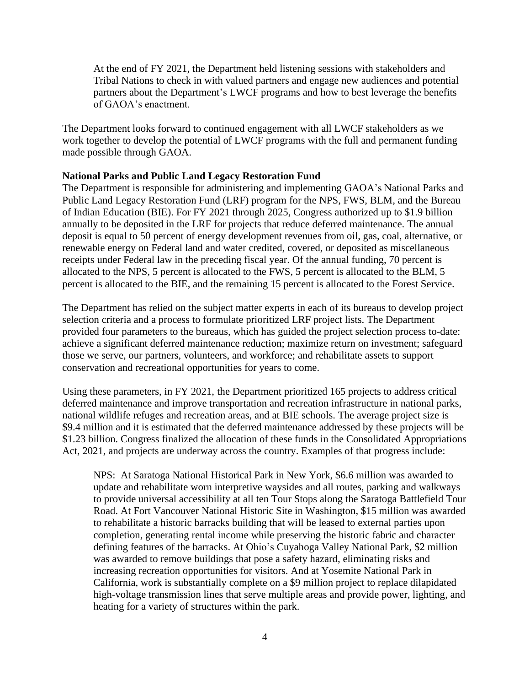At the end of FY 2021, the Department held listening sessions with stakeholders and Tribal Nations to check in with valued partners and engage new audiences and potential partners about the Department's LWCF programs and how to best leverage the benefits of GAOA's enactment.

The Department looks forward to continued engagement with all LWCF stakeholders as we work together to develop the potential of LWCF programs with the full and permanent funding made possible through GAOA.

### **National Parks and Public Land Legacy Restoration Fund**

The Department is responsible for administering and implementing GAOA's National Parks and Public Land Legacy Restoration Fund (LRF) program for the NPS, FWS, BLM, and the Bureau of Indian Education (BIE). For FY 2021 through 2025, Congress authorized up to \$1.9 billion annually to be deposited in the LRF for projects that reduce deferred maintenance. The annual deposit is equal to 50 percent of energy development revenues from oil, gas, coal, alternative, or renewable energy on Federal land and water credited, covered, or deposited as miscellaneous receipts under Federal law in the preceding fiscal year. Of the annual funding, 70 percent is allocated to the NPS, 5 percent is allocated to the FWS, 5 percent is allocated to the BLM, 5 percent is allocated to the BIE, and the remaining 15 percent is allocated to the Forest Service.

The Department has relied on the subject matter experts in each of its bureaus to develop project selection criteria and a process to formulate prioritized LRF project lists. The Department provided four parameters to the bureaus, which has guided the project selection process to-date: achieve a significant deferred maintenance reduction; maximize return on investment; safeguard those we serve, our partners, volunteers, and workforce; and rehabilitate assets to support conservation and recreational opportunities for years to come.

Using these parameters, in FY 2021, the Department prioritized 165 projects to address critical deferred maintenance and improve transportation and recreation infrastructure in national parks, national wildlife refuges and recreation areas, and at BIE schools. The average project size is \$9.4 million and it is estimated that the deferred maintenance addressed by these projects will be \$1.23 billion. Congress finalized the allocation of these funds in the Consolidated Appropriations Act, 2021, and projects are underway across the country. Examples of that progress include:

NPS: At Saratoga National Historical Park in New York, \$6.6 million was awarded to update and rehabilitate worn interpretive waysides and all routes, parking and walkways to provide universal accessibility at all ten Tour Stops along the Saratoga Battlefield Tour Road. At Fort Vancouver National Historic Site in Washington, \$15 million was awarded to rehabilitate a historic barracks building that will be leased to external parties upon completion, generating rental income while preserving the historic fabric and character defining features of the barracks. At Ohio's Cuyahoga Valley National Park, \$2 million was awarded to remove buildings that pose a safety hazard, eliminating risks and increasing recreation opportunities for visitors. And at Yosemite National Park in California, work is substantially complete on a \$9 million project to replace dilapidated high-voltage transmission lines that serve multiple areas and provide power, lighting, and heating for a variety of structures within the park.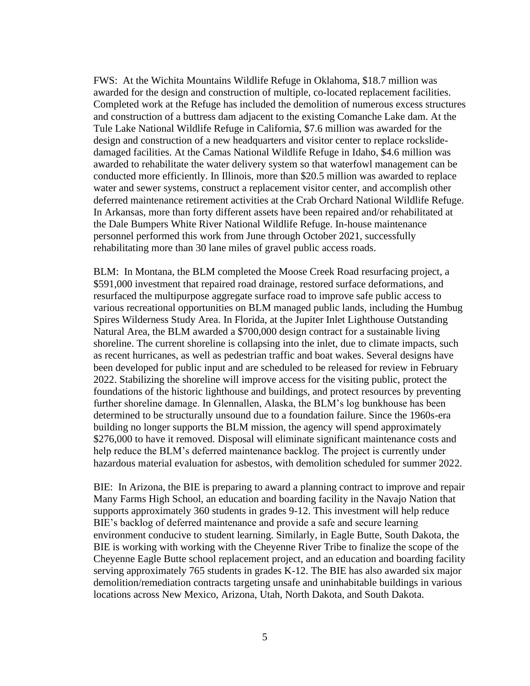FWS: At the Wichita Mountains Wildlife Refuge in Oklahoma, \$18.7 million was awarded for the design and construction of multiple, co-located replacement facilities. Completed work at the Refuge has included the demolition of numerous excess structures and construction of a buttress dam adjacent to the existing Comanche Lake dam. At the Tule Lake National Wildlife Refuge in California, \$7.6 million was awarded for the design and construction of a new headquarters and visitor center to replace rockslidedamaged facilities. At the Camas National Wildlife Refuge in Idaho, \$4.6 million was awarded to rehabilitate the water delivery system so that waterfowl management can be conducted more efficiently. In Illinois, more than \$20.5 million was awarded to replace water and sewer systems, construct a replacement visitor center, and accomplish other deferred maintenance retirement activities at the Crab Orchard National Wildlife Refuge. In Arkansas, more than forty different assets have been repaired and/or rehabilitated at the Dale Bumpers White River National Wildlife Refuge. In-house maintenance personnel performed this work from June through October 2021, successfully rehabilitating more than 30 lane miles of gravel public access roads.

BLM: In Montana, the BLM completed the Moose Creek Road resurfacing project, a \$591,000 investment that repaired road drainage, restored surface deformations, and resurfaced the multipurpose aggregate surface road to improve safe public access to various recreational opportunities on BLM managed public lands, including the Humbug Spires Wilderness Study Area. In Florida, at the Jupiter Inlet Lighthouse Outstanding Natural Area, the BLM awarded a \$700,000 design contract for a sustainable living shoreline. The current shoreline is collapsing into the inlet, due to climate impacts, such as recent hurricanes, as well as pedestrian traffic and boat wakes. Several designs have been developed for public input and are scheduled to be released for review in February 2022. Stabilizing the shoreline will improve access for the visiting public, protect the foundations of the historic lighthouse and buildings, and protect resources by preventing further shoreline damage. In Glennallen, Alaska, the BLM's log bunkhouse has been determined to be structurally unsound due to a foundation failure. Since the 1960s-era building no longer supports the BLM mission, the agency will spend approximately \$276,000 to have it removed. Disposal will eliminate significant maintenance costs and help reduce the BLM's deferred maintenance backlog. The project is currently under hazardous material evaluation for asbestos, with demolition scheduled for summer 2022.

BIE: In Arizona, the BIE is preparing to award a planning contract to improve and repair Many Farms High School, an education and boarding facility in the Navajo Nation that supports approximately 360 students in grades 9-12. This investment will help reduce BIE's backlog of deferred maintenance and provide a safe and secure learning environment conducive to student learning. Similarly, in Eagle Butte, South Dakota, the BIE is working with working with the Cheyenne River Tribe to finalize the scope of the Cheyenne Eagle Butte school replacement project, and an education and boarding facility serving approximately 765 students in grades K-12. The BIE has also awarded six major demolition/remediation contracts targeting unsafe and uninhabitable buildings in various locations across New Mexico, Arizona, Utah, North Dakota, and South Dakota.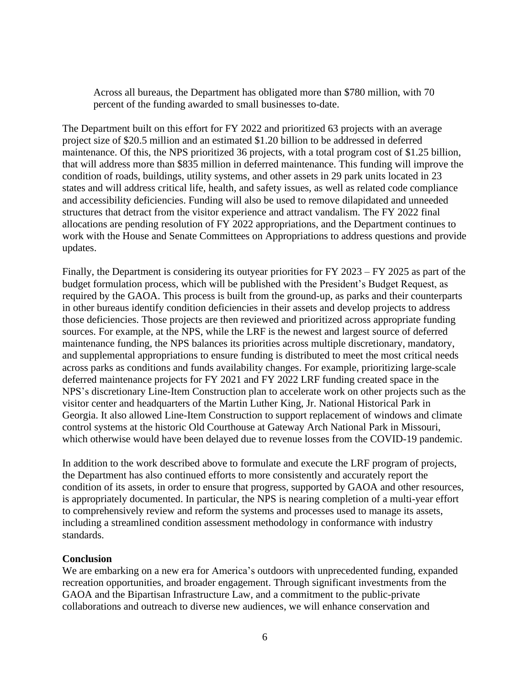Across all bureaus, the Department has obligated more than \$780 million, with 70 percent of the funding awarded to small businesses to-date.

The Department built on this effort for FY 2022 and prioritized 63 projects with an average project size of \$20.5 million and an estimated \$1.20 billion to be addressed in deferred maintenance. Of this, the NPS prioritized 36 projects, with a total program cost of \$1.25 billion, that will address more than \$835 million in deferred maintenance. This funding will improve the condition of roads, buildings, utility systems, and other assets in 29 park units located in 23 states and will address critical life, health, and safety issues, as well as related code compliance and accessibility deficiencies. Funding will also be used to remove dilapidated and unneeded structures that detract from the visitor experience and attract vandalism. The FY 2022 final allocations are pending resolution of FY 2022 appropriations, and the Department continues to work with the House and Senate Committees on Appropriations to address questions and provide updates.

Finally, the Department is considering its outyear priorities for FY 2023 – FY 2025 as part of the budget formulation process, which will be published with the President's Budget Request, as required by the GAOA. This process is built from the ground-up, as parks and their counterparts in other bureaus identify condition deficiencies in their assets and develop projects to address those deficiencies. Those projects are then reviewed and prioritized across appropriate funding sources. For example, at the NPS, while the LRF is the newest and largest source of deferred maintenance funding, the NPS balances its priorities across multiple discretionary, mandatory, and supplemental appropriations to ensure funding is distributed to meet the most critical needs across parks as conditions and funds availability changes. For example, prioritizing large-scale deferred maintenance projects for FY 2021 and FY 2022 LRF funding created space in the NPS's discretionary Line-Item Construction plan to accelerate work on other projects such as the visitor center and headquarters of the Martin Luther King, Jr. National Historical Park in Georgia. It also allowed Line-Item Construction to support replacement of windows and climate control systems at the historic Old Courthouse at Gateway Arch National Park in Missouri, which otherwise would have been delayed due to revenue losses from the COVID-19 pandemic.

In addition to the work described above to formulate and execute the LRF program of projects, the Department has also continued efforts to more consistently and accurately report the condition of its assets, in order to ensure that progress, supported by GAOA and other resources, is appropriately documented. In particular, the NPS is nearing completion of a multi-year effort to comprehensively review and reform the systems and processes used to manage its assets, including a streamlined condition assessment methodology in conformance with industry standards.

### **Conclusion**

We are embarking on a new era for America's outdoors with unprecedented funding, expanded recreation opportunities, and broader engagement. Through significant investments from the GAOA and the Bipartisan Infrastructure Law, and a commitment to the public-private collaborations and outreach to diverse new audiences, we will enhance conservation and